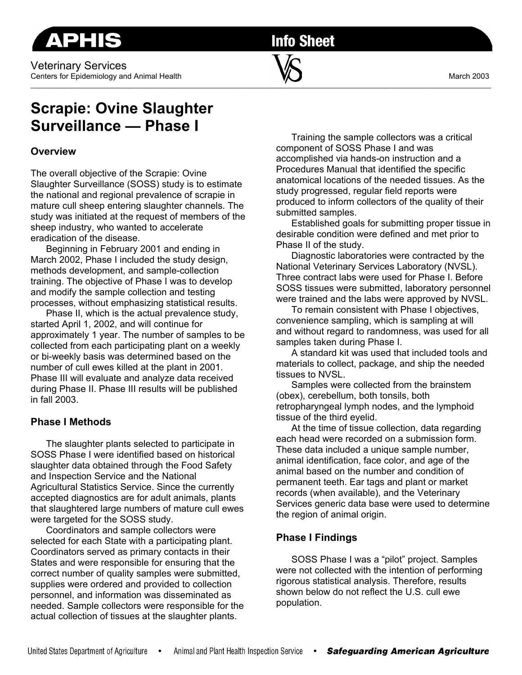**APHIS** 

**Info Sheet** 

# **Scrapie: Ovine Slaughter Surveillance — Phase I**

## **Overview**

The overall objective of the Scrapie: Ovine Slaughter Surveillance (SOSS) study is to estimate the national and regional prevalence of scrapie in mature cull sheep entering slaughter channels. The study was initiated at the request of members of the sheep industry, who wanted to accelerate eradication of the disease.

Beginning in February 2001 and ending in March 2002, Phase I included the study design, methods development, and sample-collection training. The objective of Phase I was to develop and modify the sample collection and testing processes, without emphasizing statistical results.

Phase II, which is the actual prevalence study, started April 1, 2002, and will continue for approximately 1 year. The number of samples to be collected from each participating plant on a weekly or bi-weekly basis was determined based on the number of cull ewes killed at the plant in 2001. Phase III will evaluate and analyze data received during Phase II. Phase III results will be published in fall 2003.

# **Phase I Methods**

The slaughter plants selected to participate in SOSS Phase I were identified based on historical slaughter data obtained through the Food Safety and Inspection Service and the National Agricultural Statistics Service. Since the currently accepted diagnostics are for adult animals, plants that slaughtered large numbers of mature cull ewes were targeted for the SOSS study.

Coordinators and sample collectors were selected for each State with a participating plant. Coordinators served as primary contacts in their States and were responsible for ensuring that the correct number of quality samples were submitted, supplies were ordered and provided to collection personnel, and information was disseminated as needed. Sample collectors were responsible for the actual collection of tissues at the slaughter plants.

Training the sample collectors was a critical component of SOSS Phase I and was accomplished via hands-on instruction and a Procedures Manual that identified the specific anatomical locations of the needed tissues. As the study progressed, regular field reports were produced to inform collectors of the quality of their submitted samples.

Established goals for submitting proper tissue in desirable condition were defined and met prior to Phase II of the study.

Diagnostic laboratories were contracted by the National Veterinary Services Laboratory (NVSL). Three contract labs were used for Phase I. Before SOSS tissues were submitted, laboratory personnel were trained and the labs were approved by NVSL.

To remain consistent with Phase I objectives, convenience sampling, which is sampling at will and without regard to randomness, was used for all samples taken during Phase I.

A standard kit was used that included tools and materials to collect, package, and ship the needed tissues to NVSL.

Samples were collected from the brainstem (obex), cerebellum, both tonsils, both retropharyngeal lymph nodes, and the lymphoid tissue of the third eyelid.

At the time of tissue collection, data regarding each head were recorded on a submission form. These data included a unique sample number, animal identification, face color, and age of the animal based on the number and condition of permanent teeth. Ear tags and plant or market records (when available), and the Veterinary Services generic data base were used to determine the region of animal origin.

### **Phase I Findings**

SOSS Phase I was a "pilot" project. Samples were not collected with the intention of performing rigorous statistical analysis. Therefore, results shown below do not reflect the U.S. cull ewe population.